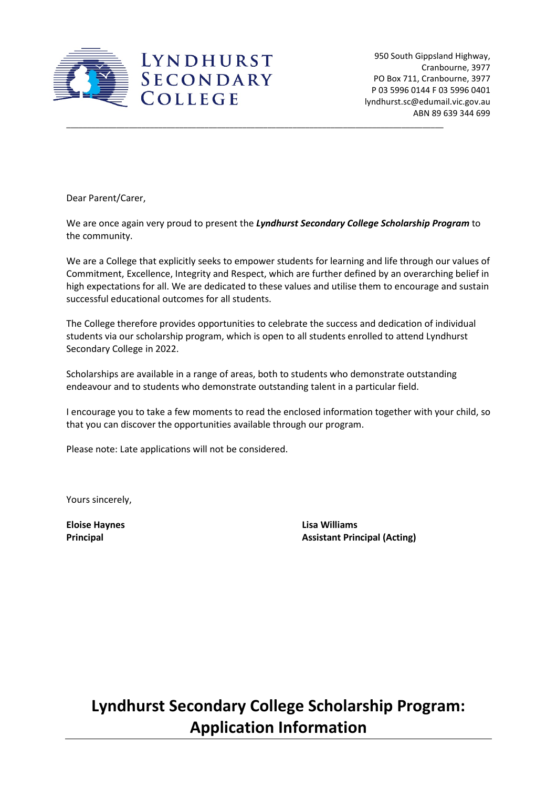

950 South Gippsland Highway, Cranbourne, 3977 PO Box 711, Cranbourne, 3977 P 03 5996 0144 F 03 5996 0401 lyndhurst.sc@edumail.vic.gov.au ABN 89 639 344 699

Dear Parent/Carer,

We are once again very proud to present the *Lyndhurst Secondary College Scholarship Program* to the community.

\_\_\_\_\_\_\_\_\_\_\_\_\_\_\_\_\_\_\_\_\_\_\_\_\_\_\_\_\_\_\_\_\_\_\_\_\_\_\_\_\_\_\_\_\_\_\_\_\_\_\_\_\_\_\_\_\_\_\_\_\_\_\_\_\_\_\_\_\_\_\_\_\_\_\_\_\_\_\_\_\_\_\_\_\_\_\_\_\_\_

We are a College that explicitly seeks to empower students for learning and life through our values of Commitment, Excellence, Integrity and Respect, which are further defined by an overarching belief in high expectations for all. We are dedicated to these values and utilise them to encourage and sustain successful educational outcomes for all students.

The College therefore provides opportunities to celebrate the success and dedication of individual students via our scholarship program, which is open to all students enrolled to attend Lyndhurst Secondary College in 2022.

Scholarships are available in a range of areas, both to students who demonstrate outstanding endeavour and to students who demonstrate outstanding talent in a particular field.

I encourage you to take a few moments to read the enclosed information together with your child, so that you can discover the opportunities available through our program.

Please note: Late applications will not be considered.

Yours sincerely,

**Eloise Haynes Lisa Williams Principal Assistant Principal (Acting)**

**Lyndhurst Secondary College Scholarship Program: Application Information**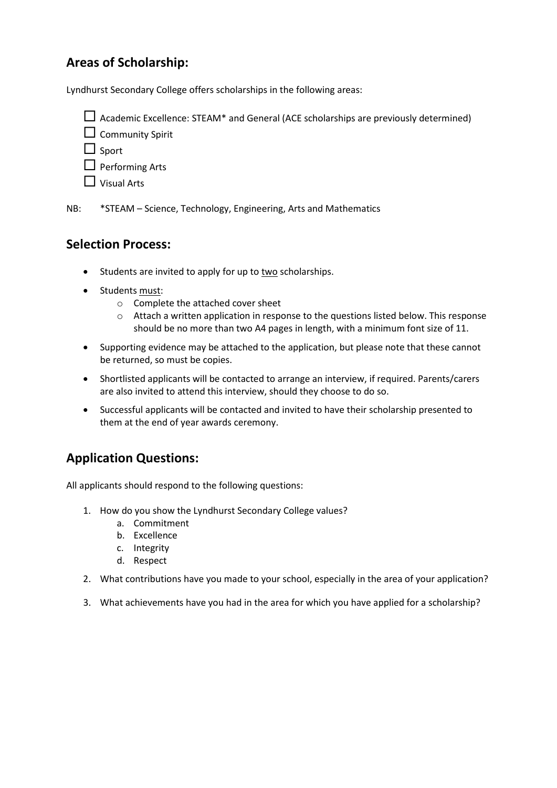## **Areas of Scholarship:**

Lyndhurst Secondary College offers scholarships in the following areas:

 $\Box$  Academic Excellence: STEAM\* and General (ACE scholarships are previously determined)

 $\square$  Community Spirit

 $\Box$  Sport

 $\Box$  Performing Arts

 $\Box$  Visual Arts

NB: \*STEAM – Science, Technology, Engineering, Arts and Mathematics

## **Selection Process:**

- Students are invited to apply for up to two scholarships.
- Students must:
	- o Complete the attached cover sheet
	- o Attach a written application in response to the questions listed below. This response should be no more than two A4 pages in length, with a minimum font size of 11.
- Supporting evidence may be attached to the application, but please note that these cannot be returned, so must be copies.
- Shortlisted applicants will be contacted to arrange an interview, if required. Parents/carers are also invited to attend this interview, should they choose to do so.
- Successful applicants will be contacted and invited to have their scholarship presented to them at the end of year awards ceremony.

## **Application Questions:**

All applicants should respond to the following questions:

- 1. How do you show the Lyndhurst Secondary College values?
	- a. Commitment
	- b. Excellence
	- c. Integrity
	- d. Respect
- 2. What contributions have you made to your school, especially in the area of your application?
- 3. What achievements have you had in the area for which you have applied for a scholarship?